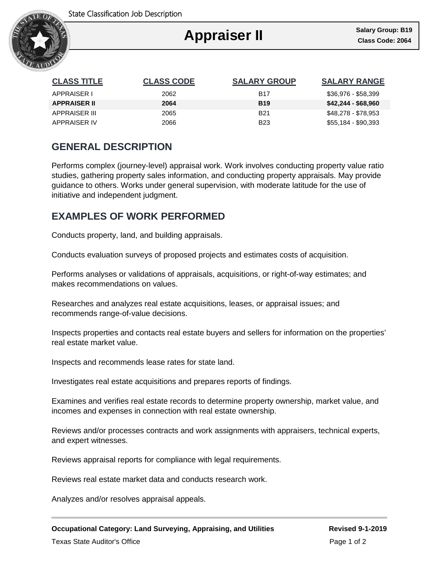

Ι

| <b>CLASS TITLE</b>  | <b>CLASS CODE</b> | <b>SALARY GROUP</b> | <b>SALARY RANGE</b> |
|---------------------|-------------------|---------------------|---------------------|
| APPRAISER I         | 2062              | <b>B17</b>          | \$36,976 - \$58,399 |
| <b>APPRAISER II</b> | 2064              | <b>B19</b>          | \$42,244 - \$68,960 |
| APPRAISER III       | 2065              | <b>B21</b>          | \$48,278 - \$78,953 |
| APPRAISER IV        | 2066              | B <sub>23</sub>     | \$55,184 - \$90,393 |

# **GENERAL DESCRIPTION**

Performs complex (journey-level) appraisal work. Work involves conducting property value ratio studies, gathering property sales information, and conducting property appraisals. May provide guidance to others. Works under general supervision, with moderate latitude for the use of initiative and independent judgment.

## **EXAMPLES OF WORK PERFORMED**

Conducts property, land, and building appraisals.

Conducts evaluation surveys of proposed projects and estimates costs of acquisition.

Performs analyses or validations of appraisals, acquisitions, or right-of-way estimates; and makes recommendations on values.

Researches and analyzes real estate acquisitions, leases, or appraisal issues; and recommends range-of-value decisions.

Inspects properties and contacts real estate buyers and sellers for information on the properties' real estate market value.

Inspects and recommends lease rates for state land.

Investigates real estate acquisitions and prepares reports of findings.

Examines and verifies real estate records to determine property ownership, market value, and incomes and expenses in connection with real estate ownership.

Reviews and/or processes contracts and work assignments with appraisers, technical experts, and expert witnesses.

Reviews appraisal reports for compliance with legal requirements.

Reviews real estate market data and conducts research work.

Analyzes and/or resolves appraisal appeals.

**Occupational Category: Land Surveying, Appraising, and Utilities Revised 9-1-2019**

Texas State Auditor's Office **Page 1 of 2** and 2